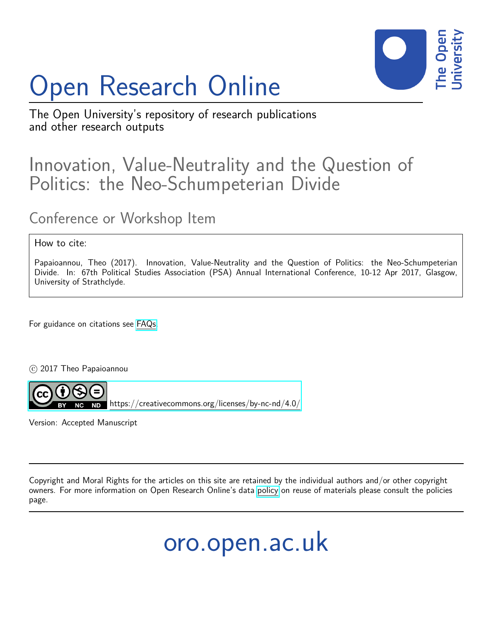# Open Research Online



The Open University's repository of research publications and other research outputs

## Innovation, Value-Neutrality and the Question of Politics: the Neo-Schumpeterian Divide

## Conference or Workshop Item

#### How to cite:

Papaioannou, Theo (2017). Innovation, Value-Neutrality and the Question of Politics: the Neo-Schumpeterian Divide. In: 67th Political Studies Association (PSA) Annual International Conference, 10-12 Apr 2017, Glasgow, University of Strathclyde.

For guidance on citations see [FAQs.](http://oro.open.ac.uk/help/helpfaq.html)

C 2017 Theo Papaioannou



 $N$ D <https://creativecommons.org/licenses/by-nc-nd/4.0/>

Version: Accepted Manuscript

Copyright and Moral Rights for the articles on this site are retained by the individual authors and/or other copyright owners. For more information on Open Research Online's data [policy](http://oro.open.ac.uk/policies.html) on reuse of materials please consult the policies page.

oro.open.ac.uk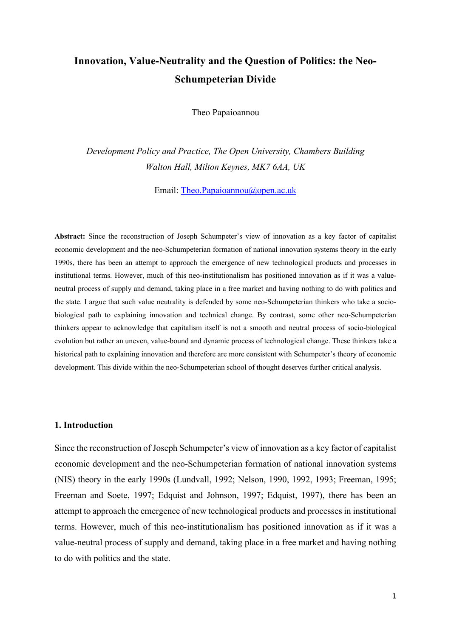### **Innovation, Value-Neutrality and the Question of Politics: the Neo-Schumpeterian Divide**

Theo Papaioannou

*Development Policy and Practice, The Open University, Chambers Building Walton Hall, Milton Keynes, MK7 6AA, UK*

Email: [Theo.Papaioannou@open.ac.uk](mailto:Theo.Papaioannou@open.ac.uk)

**Abstract:** Since the reconstruction of Joseph Schumpeter's view of innovation as a key factor of capitalist economic development and the neo-Schumpeterian formation of national innovation systems theory in the early 1990s, there has been an attempt to approach the emergence of new technological products and processes in institutional terms. However, much of this neo-institutionalism has positioned innovation as if it was a valueneutral process of supply and demand, taking place in a free market and having nothing to do with politics and the state. I argue that such value neutrality is defended by some neo-Schumpeterian thinkers who take a sociobiological path to explaining innovation and technical change. By contrast, some other neo-Schumpeterian thinkers appear to acknowledge that capitalism itself is not a smooth and neutral process of socio-biological evolution but rather an uneven, value-bound and dynamic process of technological change. These thinkers take a historical path to explaining innovation and therefore are more consistent with Schumpeter's theory of economic development. This divide within the neo-Schumpeterian school of thought deserves further critical analysis.

#### **1. Introduction**

Since the reconstruction of Joseph Schumpeter's view of innovation as a key factor of capitalist economic development and the neo-Schumpeterian formation of national innovation systems (NIS) theory in the early 1990s (Lundvall, 1992; Nelson, 1990, 1992, 1993; Freeman, 1995; Freeman and Soete, 1997; Edquist and Johnson, 1997; Edquist, 1997), there has been an attempt to approach the emergence of new technological products and processes in institutional terms. However, much of this neo-institutionalism has positioned innovation as if it was a value-neutral process of supply and demand, taking place in a free market and having nothing to do with politics and the state.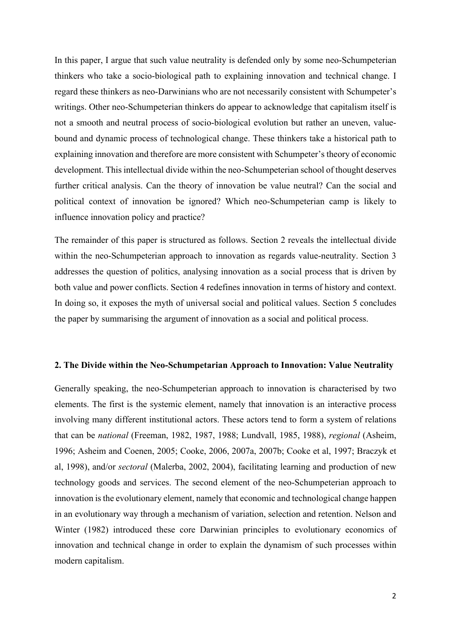In this paper, I argue that such value neutrality is defended only by some neo-Schumpeterian thinkers who take a socio-biological path to explaining innovation and technical change. I regard these thinkers as neo-Darwinians who are not necessarily consistent with Schumpeter's writings. Other neo-Schumpeterian thinkers do appear to acknowledge that capitalism itself is not a smooth and neutral process of socio-biological evolution but rather an uneven, valuebound and dynamic process of technological change. These thinkers take a historical path to explaining innovation and therefore are more consistent with Schumpeter's theory of economic development. This intellectual divide within the neo-Schumpeterian school of thought deserves further critical analysis. Can the theory of innovation be value neutral? Can the social and political context of innovation be ignored? Which neo-Schumpeterian camp is likely to influence innovation policy and practice?

The remainder of this paper is structured as follows. Section 2 reveals the intellectual divide within the neo-Schumpeterian approach to innovation as regards value-neutrality. Section 3 addresses the question of politics, analysing innovation as a social process that is driven by both value and power conflicts. Section 4 redefines innovation in terms of history and context. In doing so, it exposes the myth of universal social and political values. Section 5 concludes the paper by summarising the argument of innovation as a social and political process.

#### **2. The Divide within the Neo-Schumpetarian Approach to Innovation: Value Neutrality**

Generally speaking, the neo-Schumpeterian approach to innovation is characterised by two elements. The first is the systemic element, namely that innovation is an interactive process involving many different institutional actors. These actors tend to form a system of relations that can be *national* (Freeman, 1982, 1987, 1988; Lundvall, 1985, 1988), *regional* (Asheim, 1996; Asheim and Coenen, 2005; Cooke, 2006, 2007a, 2007b; Cooke et al, 1997; Braczyk et al, 1998), and/or *sectoral* (Malerba, 2002, 2004), facilitating learning and production of new technology goods and services. The second element of the neo-Schumpeterian approach to innovation is the evolutionary element, namely that economic and technological change happen in an evolutionary way through a mechanism of variation, selection and retention. Nelson and Winter (1982) introduced these core Darwinian principles to evolutionary economics of innovation and technical change in order to explain the dynamism of such processes within modern capitalism.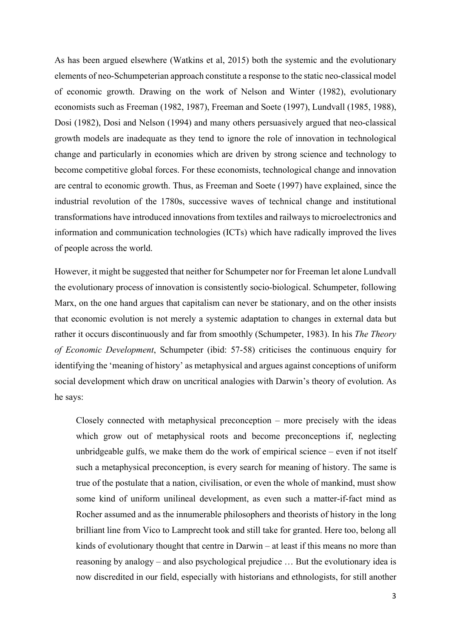As has been argued elsewhere (Watkins et al, 2015) both the systemic and the evolutionary elements of neo-Schumpeterian approach constitute a response to the static neo-classical model of economic growth. Drawing on the work of Nelson and Winter (1982), evolutionary economists such as Freeman (1982, 1987), Freeman and Soete (1997), Lundvall (1985, 1988), Dosi (1982), Dosi and Nelson (1994) and many others persuasively argued that neo-classical growth models are inadequate as they tend to ignore the role of innovation in technological change and particularly in economies which are driven by strong science and technology to become competitive global forces. For these economists, technological change and innovation are central to economic growth. Thus, as Freeman and Soete (1997) have explained, since the industrial revolution of the 1780s, successive waves of technical change and institutional transformations have introduced innovations from textiles and railways to microelectronics and information and communication technologies (ICTs) which have radically improved the lives of people across the world.

However, it might be suggested that neither for Schumpeter nor for Freeman let alone Lundvall the evolutionary process of innovation is consistently socio-biological. Schumpeter, following Marx, on the one hand argues that capitalism can never be stationary, and on the other insists that economic evolution is not merely a systemic adaptation to changes in external data but rather it occurs discontinuously and far from smoothly (Schumpeter, 1983). In his *The Theory of Economic Development*, Schumpeter (ibid: 57-58) criticises the continuous enquiry for identifying the 'meaning of history' as metaphysical and argues against conceptions of uniform social development which draw on uncritical analogies with Darwin's theory of evolution. As he says:

Closely connected with metaphysical preconception – more precisely with the ideas which grow out of metaphysical roots and become preconceptions if, neglecting unbridgeable gulfs, we make them do the work of empirical science – even if not itself such a metaphysical preconception, is every search for meaning of history. The same is true of the postulate that a nation, civilisation, or even the whole of mankind, must show some kind of uniform unilineal development, as even such a matter-if-fact mind as Rocher assumed and as the innumerable philosophers and theorists of history in the long brilliant line from Vico to Lamprecht took and still take for granted. Here too, belong all kinds of evolutionary thought that centre in Darwin – at least if this means no more than reasoning by analogy – and also psychological prejudice … But the evolutionary idea is now discredited in our field, especially with historians and ethnologists, for still another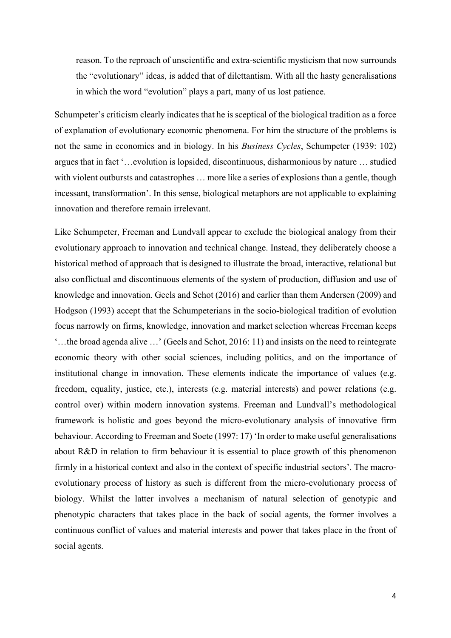reason. To the reproach of unscientific and extra-scientific mysticism that now surrounds the "evolutionary" ideas, is added that of dilettantism. With all the hasty generalisations in which the word "evolution" plays a part, many of us lost patience.

Schumpeter's criticism clearly indicates that he is sceptical of the biological tradition as a force of explanation of evolutionary economic phenomena. For him the structure of the problems is not the same in economics and in biology. In his *Business Cycles*, Schumpeter (1939: 102) argues that in fact '…evolution is lopsided, discontinuous, disharmonious by nature … studied with violent outbursts and catastrophes ... more like a series of explosions than a gentle, though incessant, transformation'. In this sense, biological metaphors are not applicable to explaining innovation and therefore remain irrelevant.

Like Schumpeter, Freeman and Lundvall appear to exclude the biological analogy from their evolutionary approach to innovation and technical change. Instead, they deliberately choose a historical method of approach that is designed to illustrate the broad, interactive, relational but also conflictual and discontinuous elements of the system of production, diffusion and use of knowledge and innovation. Geels and Schot (2016) and earlier than them Andersen (2009) and Hodgson (1993) accept that the Schumpeterians in the socio-biological tradition of evolution focus narrowly on firms, knowledge, innovation and market selection whereas Freeman keeps '…the broad agenda alive …' (Geels and Schot, 2016: 11) and insists on the need to reintegrate economic theory with other social sciences, including politics, and on the importance of institutional change in innovation. These elements indicate the importance of values (e.g. freedom, equality, justice, etc.), interests (e.g. material interests) and power relations (e.g. control over) within modern innovation systems. Freeman and Lundvall's methodological framework is holistic and goes beyond the micro-evolutionary analysis of innovative firm behaviour. According to Freeman and Soete (1997: 17) 'In order to make useful generalisations about R&D in relation to firm behaviour it is essential to place growth of this phenomenon firmly in a historical context and also in the context of specific industrial sectors'. The macroevolutionary process of history as such is different from the micro-evolutionary process of biology. Whilst the latter involves a mechanism of natural selection of genotypic and phenotypic characters that takes place in the back of social agents, the former involves a continuous conflict of values and material interests and power that takes place in the front of social agents.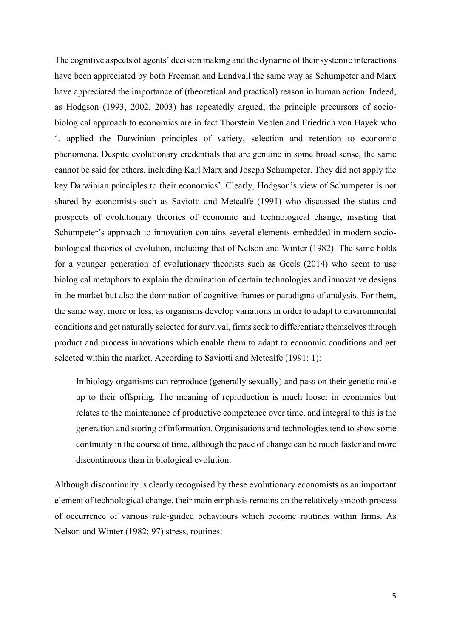The cognitive aspects of agents' decision making and the dynamic of their systemic interactions have been appreciated by both Freeman and Lundvall the same way as Schumpeter and Marx have appreciated the importance of (theoretical and practical) reason in human action. Indeed, as Hodgson (1993, 2002, 2003) has repeatedly argued, the principle precursors of sociobiological approach to economics are in fact Thorstein Veblen and Friedrich von Hayek who '…applied the Darwinian principles of variety, selection and retention to economic phenomena. Despite evolutionary credentials that are genuine in some broad sense, the same cannot be said for others, including Karl Marx and Joseph Schumpeter. They did not apply the key Darwinian principles to their economics'. Clearly, Hodgson's view of Schumpeter is not shared by economists such as Saviotti and Metcalfe (1991) who discussed the status and prospects of evolutionary theories of economic and technological change, insisting that Schumpeter's approach to innovation contains several elements embedded in modern sociobiological theories of evolution, including that of Nelson and Winter (1982). The same holds for a younger generation of evolutionary theorists such as Geels (2014) who seem to use biological metaphors to explain the domination of certain technologies and innovative designs in the market but also the domination of cognitive frames or paradigms of analysis. For them, the same way, more or less, as organisms develop variations in order to adapt to environmental conditions and get naturally selected for survival, firms seek to differentiate themselves through product and process innovations which enable them to adapt to economic conditions and get selected within the market. According to Saviotti and Metcalfe (1991: 1):

In biology organisms can reproduce (generally sexually) and pass on their genetic make up to their offspring. The meaning of reproduction is much looser in economics but relates to the maintenance of productive competence over time, and integral to this is the generation and storing of information. Organisations and technologies tend to show some continuity in the course of time, although the pace of change can be much faster and more discontinuous than in biological evolution.

Although discontinuity is clearly recognised by these evolutionary economists as an important element of technological change, their main emphasis remains on the relatively smooth process of occurrence of various rule-guided behaviours which become routines within firms. As Nelson and Winter (1982: 97) stress, routines: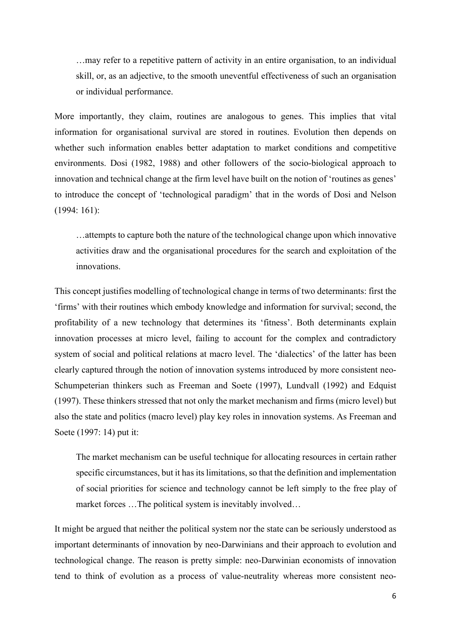…may refer to a repetitive pattern of activity in an entire organisation, to an individual skill, or, as an adjective, to the smooth uneventful effectiveness of such an organisation or individual performance.

More importantly, they claim, routines are analogous to genes. This implies that vital information for organisational survival are stored in routines. Evolution then depends on whether such information enables better adaptation to market conditions and competitive environments. Dosi (1982, 1988) and other followers of the socio-biological approach to innovation and technical change at the firm level have built on the notion of 'routines as genes' to introduce the concept of 'technological paradigm' that in the words of Dosi and Nelson (1994: 161):

…attempts to capture both the nature of the technological change upon which innovative activities draw and the organisational procedures for the search and exploitation of the innovations.

This concept justifies modelling of technological change in terms of two determinants: first the 'firms' with their routines which embody knowledge and information for survival; second, the profitability of a new technology that determines its 'fitness'. Both determinants explain innovation processes at micro level, failing to account for the complex and contradictory system of social and political relations at macro level. The 'dialectics' of the latter has been clearly captured through the notion of innovation systems introduced by more consistent neo-Schumpeterian thinkers such as Freeman and Soete (1997), Lundvall (1992) and Edquist (1997). These thinkers stressed that not only the market mechanism and firms (micro level) but also the state and politics (macro level) play key roles in innovation systems. As Freeman and Soete (1997: 14) put it:

The market mechanism can be useful technique for allocating resources in certain rather specific circumstances, but it has its limitations, so that the definition and implementation of social priorities for science and technology cannot be left simply to the free play of market forces ... The political system is inevitably involved...

It might be argued that neither the political system nor the state can be seriously understood as important determinants of innovation by neo-Darwinians and their approach to evolution and technological change. The reason is pretty simple: neo-Darwinian economists of innovation tend to think of evolution as a process of value-neutrality whereas more consistent neo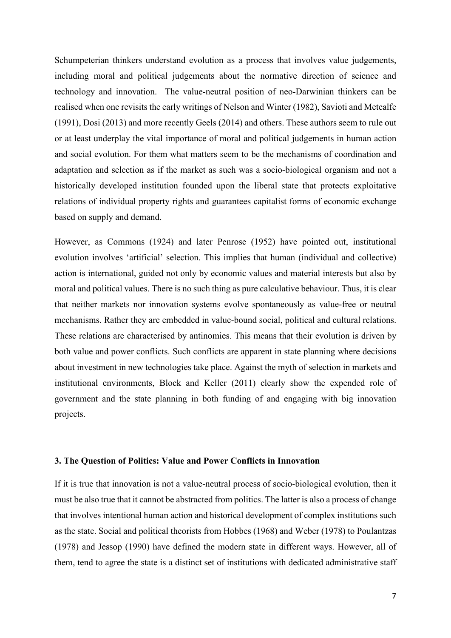Schumpeterian thinkers understand evolution as a process that involves value judgements, including moral and political judgements about the normative direction of science and technology and innovation. The value-neutral position of neo-Darwinian thinkers can be realised when one revisits the early writings of Nelson and Winter (1982), Savioti and Metcalfe (1991), Dosi (2013) and more recently Geels (2014) and others. These authors seem to rule out or at least underplay the vital importance of moral and political judgements in human action and social evolution. For them what matters seem to be the mechanisms of coordination and adaptation and selection as if the market as such was a socio-biological organism and not a historically developed institution founded upon the liberal state that protects exploitative relations of individual property rights and guarantees capitalist forms of economic exchange based on supply and demand.

However, as Commons (1924) and later Penrose (1952) have pointed out, institutional evolution involves 'artificial' selection. This implies that human (individual and collective) action is international, guided not only by economic values and material interests but also by moral and political values. There is no such thing as pure calculative behaviour. Thus, it is clear that neither markets nor innovation systems evolve spontaneously as value-free or neutral mechanisms. Rather they are embedded in value-bound social, political and cultural relations. These relations are characterised by antinomies. This means that their evolution is driven by both value and power conflicts. Such conflicts are apparent in state planning where decisions about investment in new technologies take place. Against the myth of selection in markets and institutional environments, Block and Keller (2011) clearly show the expended role of government and the state planning in both funding of and engaging with big innovation projects.

#### **3. The Question of Politics: Value and Power Conflicts in Innovation**

If it is true that innovation is not a value-neutral process of socio-biological evolution, then it must be also true that it cannot be abstracted from politics. The latter is also a process of change that involves intentional human action and historical development of complex institutions such as the state. Social and political theorists from Hobbes (1968) and Weber (1978) to Poulantzas (1978) and Jessop (1990) have defined the modern state in different ways. However, all of them, tend to agree the state is a distinct set of institutions with dedicated administrative staff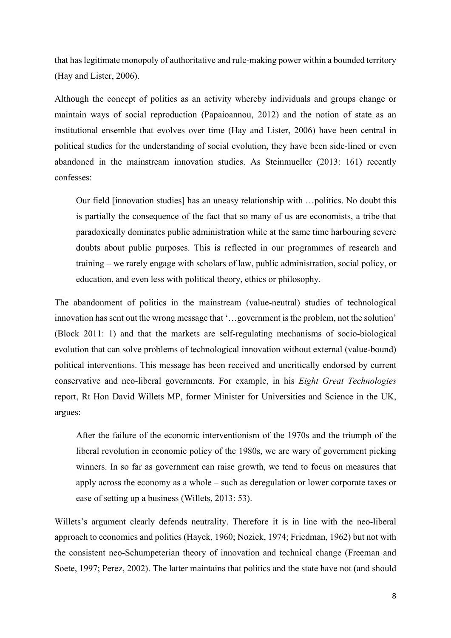that has legitimate monopoly of authoritative and rule-making power within a bounded territory (Hay and Lister, 2006).

Although the concept of politics as an activity whereby individuals and groups change or maintain ways of social reproduction (Papaioannou, 2012) and the notion of state as an institutional ensemble that evolves over time (Hay and Lister, 2006) have been central in political studies for the understanding of social evolution, they have been side-lined or even abandoned in the mainstream innovation studies. As Steinmueller (2013: 161) recently confesses:

Our field [innovation studies] has an uneasy relationship with …politics. No doubt this is partially the consequence of the fact that so many of us are economists, a tribe that paradoxically dominates public administration while at the same time harbouring severe doubts about public purposes. This is reflected in our programmes of research and training – we rarely engage with scholars of law, public administration, social policy, or education, and even less with political theory, ethics or philosophy.

The abandonment of politics in the mainstream (value-neutral) studies of technological innovation has sent out the wrong message that '…government is the problem, not the solution' (Block 2011: 1) and that the markets are self-regulating mechanisms of socio-biological evolution that can solve problems of technological innovation without external (value-bound) political interventions. This message has been received and uncritically endorsed by current conservative and neo-liberal governments. For example, in his *Eight Great Technologies* report, Rt Hon David Willets MP, former Minister for Universities and Science in the UK, argues:

After the failure of the economic interventionism of the 1970s and the triumph of the liberal revolution in economic policy of the 1980s, we are wary of government picking winners. In so far as government can raise growth, we tend to focus on measures that apply across the economy as a whole – such as deregulation or lower corporate taxes or ease of setting up a business (Willets, 2013: 53).

Willets's argument clearly defends neutrality. Therefore it is in line with the neo-liberal approach to economics and politics (Hayek, 1960; Nozick, 1974; Friedman, 1962) but not with the consistent neo-Schumpeterian theory of innovation and technical change (Freeman and Soete, 1997; Perez, 2002). The latter maintains that politics and the state have not (and should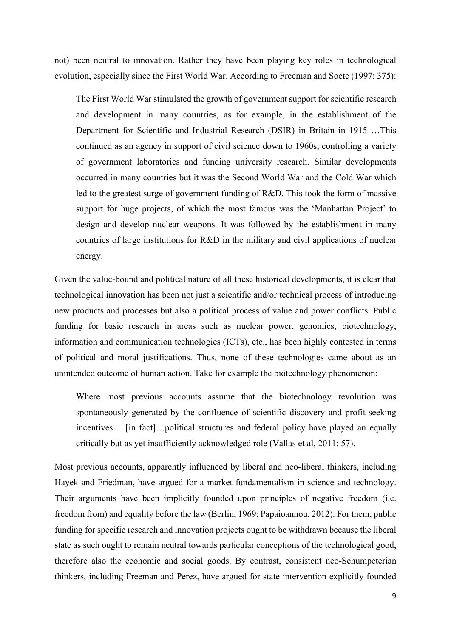not) been neutral to innovation. Rather they have been playing key roles in technological evolution, especially since the First World War. According to Freeman and Soete (1997: 375):

The First World War stimulated the growth of government support for scientific research and development in many countries, as for example, in the establishment of the Department for Scientific and Industrial Research (DSIR) in Britain in 1915 …This continued as an agency in support of civil science down to 1960s, controlling a variety of government laboratories and funding university research. Similar developments occurred in many countries but it was the Second World War and the Cold War which led to the greatest surge of government funding of R&D. This took the form of massive support for huge projects, of which the most famous was the 'Manhattan Project' to design and develop nuclear weapons. It was followed by the establishment in many countries of large institutions for R&D in the military and civil applications of nuclear energy.

Given the value-bound and political nature of all these historical developments, it is clear that technological innovation has been not just a scientific and/or technical process of introducing new products and processes but also a political process of value and power conflicts. Public funding for basic research in areas such as nuclear power, genomics, biotechnology, information and communication technologies (ICTs), etc., has been highly contested in terms of political and moral justifications. Thus, none of these technologies came about as an unintended outcome of human action. Take for example the biotechnology phenomenon:

Where most previous accounts assume that the biotechnology revolution was spontaneously generated by the confluence of scientific discovery and profit-seeking incentives …[in fact]…political structures and federal policy have played an equally critically but as yet insufficiently acknowledged role (Vallas et al, 2011: 57).

Most previous accounts, apparently influenced by liberal and neo-liberal thinkers, including Hayek and Friedman, have argued for a market fundamentalism in science and technology. Their arguments have been implicitly founded upon principles of negative freedom (i.e. freedom from) and equality before the law (Berlin, 1969; Papaioannou, 2012). For them, public funding for specific research and innovation projects ought to be withdrawn because the liberal state as such ought to remain neutral towards particular conceptions of the technological good, therefore also the economic and social goods. By contrast, consistent neo-Schumpeterian thinkers, including Freeman and Perez, have argued for state intervention explicitly founded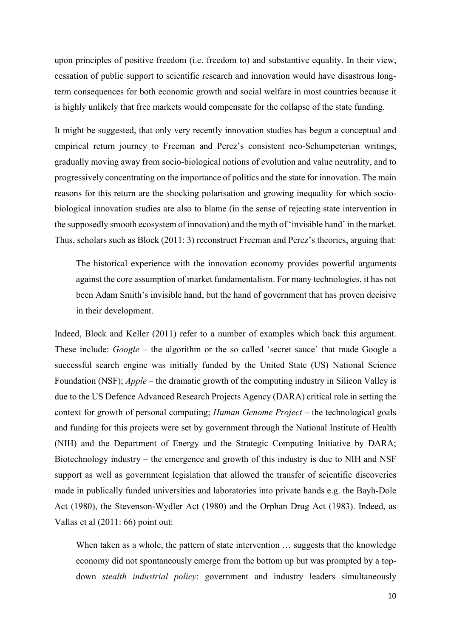upon principles of positive freedom (i.e. freedom to) and substantive equality. In their view, cessation of public support to scientific research and innovation would have disastrous longterm consequences for both economic growth and social welfare in most countries because it is highly unlikely that free markets would compensate for the collapse of the state funding.

It might be suggested, that only very recently innovation studies has begun a conceptual and empirical return journey to Freeman and Perez's consistent neo-Schumpeterian writings, gradually moving away from socio-biological notions of evolution and value neutrality, and to progressively concentrating on the importance of politics and the state for innovation. The main reasons for this return are the shocking polarisation and growing inequality for which sociobiological innovation studies are also to blame (in the sense of rejecting state intervention in the supposedly smooth ecosystem of innovation) and the myth of 'invisible hand' in the market. Thus, scholars such as Block (2011: 3) reconstruct Freeman and Perez's theories, arguing that:

The historical experience with the innovation economy provides powerful arguments against the core assumption of market fundamentalism. For many technologies, it has not been Adam Smith's invisible hand, but the hand of government that has proven decisive in their development.

Indeed, Block and Keller (2011) refer to a number of examples which back this argument. These include: *Google* – the algorithm or the so called 'secret sauce' that made Google a successful search engine was initially funded by the United State (US) National Science Foundation (NSF); *Apple* – the dramatic growth of the computing industry in Silicon Valley is due to the US Defence Advanced Research Projects Agency (DARA) critical role in setting the context for growth of personal computing; *Human Genome Project* – the technological goals and funding for this projects were set by government through the National Institute of Health (NIH) and the Department of Energy and the Strategic Computing Initiative by DARA; Biotechnology industry – the emergence and growth of this industry is due to NIH and NSF support as well as government legislation that allowed the transfer of scientific discoveries made in publically funded universities and laboratories into private hands e.g. the Bayh-Dole Act (1980), the Stevenson-Wydler Act (1980) and the Orphan Drug Act (1983). Indeed, as Vallas et al (2011: 66) point out:

When taken as a whole, the pattern of state intervention ... suggests that the knowledge economy did not spontaneously emerge from the bottom up but was prompted by a topdown *stealth industrial policy*: government and industry leaders simultaneously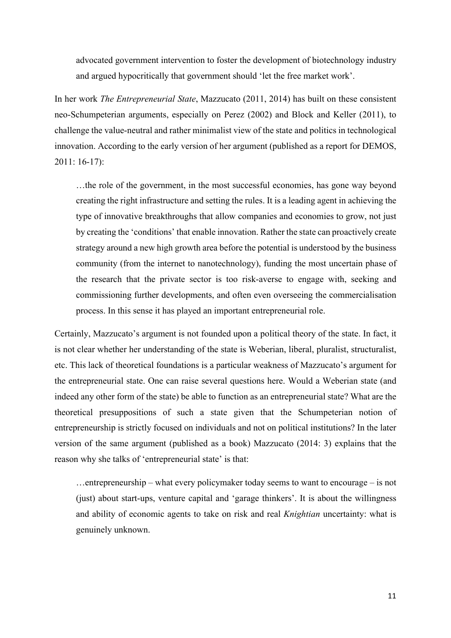advocated government intervention to foster the development of biotechnology industry and argued hypocritically that government should 'let the free market work'.

In her work *The Entrepreneurial State*, Mazzucato (2011, 2014) has built on these consistent neo-Schumpeterian arguments, especially on Perez (2002) and Block and Keller (2011), to challenge the value-neutral and rather minimalist view of the state and politics in technological innovation. According to the early version of her argument (published as a report for DEMOS, 2011: 16-17):

…the role of the government, in the most successful economies, has gone way beyond creating the right infrastructure and setting the rules. It is a leading agent in achieving the type of innovative breakthroughs that allow companies and economies to grow, not just by creating the 'conditions' that enable innovation. Rather the state can proactively create strategy around a new high growth area before the potential is understood by the business community (from the internet to nanotechnology), funding the most uncertain phase of the research that the private sector is too risk-averse to engage with, seeking and commissioning further developments, and often even overseeing the commercialisation process. In this sense it has played an important entrepreneurial role.

Certainly, Mazzucato's argument is not founded upon a political theory of the state. In fact, it is not clear whether her understanding of the state is Weberian, liberal, pluralist, structuralist, etc. This lack of theoretical foundations is a particular weakness of Mazzucato's argument for the entrepreneurial state. One can raise several questions here. Would a Weberian state (and indeed any other form of the state) be able to function as an entrepreneurial state? What are the theoretical presuppositions of such a state given that the Schumpeterian notion of entrepreneurship is strictly focused on individuals and not on political institutions? In the later version of the same argument (published as a book) Mazzucato (2014: 3) explains that the reason why she talks of 'entrepreneurial state' is that:

…entrepreneurship – what every policymaker today seems to want to encourage – is not (just) about start-ups, venture capital and 'garage thinkers'. It is about the willingness and ability of economic agents to take on risk and real *Knightian* uncertainty: what is genuinely unknown.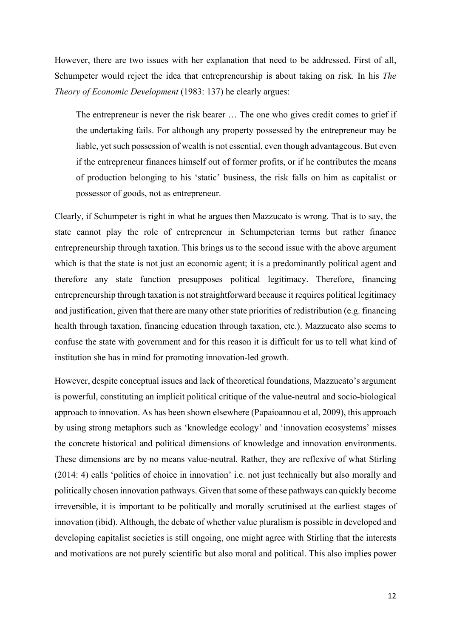However, there are two issues with her explanation that need to be addressed. First of all, Schumpeter would reject the idea that entrepreneurship is about taking on risk. In his *The Theory of Economic Development* (1983: 137) he clearly argues:

The entrepreneur is never the risk bearer … The one who gives credit comes to grief if the undertaking fails. For although any property possessed by the entrepreneur may be liable, yet such possession of wealth is not essential, even though advantageous. But even if the entrepreneur finances himself out of former profits, or if he contributes the means of production belonging to his 'static' business, the risk falls on him as capitalist or possessor of goods, not as entrepreneur.

Clearly, if Schumpeter is right in what he argues then Mazzucato is wrong. That is to say, the state cannot play the role of entrepreneur in Schumpeterian terms but rather finance entrepreneurship through taxation. This brings us to the second issue with the above argument which is that the state is not just an economic agent; it is a predominantly political agent and therefore any state function presupposes political legitimacy. Therefore, financing entrepreneurship through taxation is not straightforward because it requires political legitimacy and justification, given that there are many other state priorities of redistribution (e.g. financing health through taxation, financing education through taxation, etc.). Mazzucato also seems to confuse the state with government and for this reason it is difficult for us to tell what kind of institution she has in mind for promoting innovation-led growth.

However, despite conceptual issues and lack of theoretical foundations, Mazzucato's argument is powerful, constituting an implicit political critique of the value-neutral and socio-biological approach to innovation. As has been shown elsewhere (Papaioannou et al, 2009), this approach by using strong metaphors such as 'knowledge ecology' and 'innovation ecosystems' misses the concrete historical and political dimensions of knowledge and innovation environments. These dimensions are by no means value-neutral. Rather, they are reflexive of what Stirling (2014: 4) calls 'politics of choice in innovation' i.e. not just technically but also morally and politically chosen innovation pathways. Given that some of these pathways can quickly become irreversible, it is important to be politically and morally scrutinised at the earliest stages of innovation (ibid). Although, the debate of whether value pluralism is possible in developed and developing capitalist societies is still ongoing, one might agree with Stirling that the interests and motivations are not purely scientific but also moral and political. This also implies power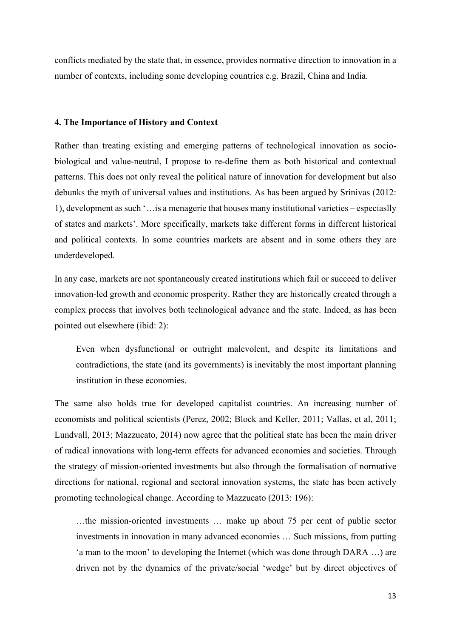conflicts mediated by the state that, in essence, provides normative direction to innovation in a number of contexts, including some developing countries e.g. Brazil, China and India.

#### **4. The Importance of History and Context**

Rather than treating existing and emerging patterns of technological innovation as sociobiological and value-neutral, I propose to re-define them as both historical and contextual patterns. This does not only reveal the political nature of innovation for development but also debunks the myth of universal values and institutions. As has been argued by Srinivas (2012: 1), development as such '…is a menagerie that houses many institutional varieties – especiaslly of states and markets'. More specifically, markets take different forms in different historical and political contexts. In some countries markets are absent and in some others they are underdeveloped.

In any case, markets are not spontaneously created institutions which fail or succeed to deliver innovation-led growth and economic prosperity. Rather they are historically created through a complex process that involves both technological advance and the state. Indeed, as has been pointed out elsewhere (ibid: 2):

Even when dysfunctional or outright malevolent, and despite its limitations and contradictions, the state (and its governments) is inevitably the most important planning institution in these economies.

The same also holds true for developed capitalist countries. An increasing number of economists and political scientists (Perez, 2002; Block and Keller, 2011; Vallas, et al, 2011; Lundvall, 2013; Mazzucato, 2014) now agree that the political state has been the main driver of radical innovations with long-term effects for advanced economies and societies. Through the strategy of mission-oriented investments but also through the formalisation of normative directions for national, regional and sectoral innovation systems, the state has been actively promoting technological change. According to Mazzucato (2013: 196):

…the mission-oriented investments … make up about 75 per cent of public sector investments in innovation in many advanced economies … Such missions, from putting 'a man to the moon' to developing the Internet (which was done through DARA …) are driven not by the dynamics of the private/social 'wedge' but by direct objectives of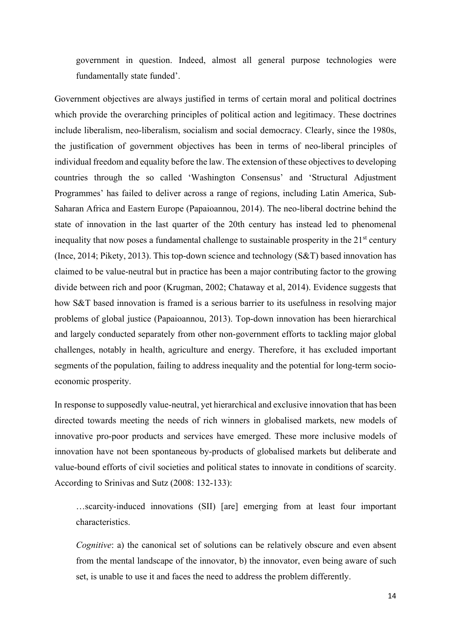government in question. Indeed, almost all general purpose technologies were fundamentally state funded'.

Government objectives are always justified in terms of certain moral and political doctrines which provide the overarching principles of political action and legitimacy. These doctrines include liberalism, neo-liberalism, socialism and social democracy. Clearly, since the 1980s, the justification of government objectives has been in terms of neo-liberal principles of individual freedom and equality before the law. The extension of these objectives to developing countries through the so called 'Washington Consensus' and 'Structural Adjustment Programmes' has failed to deliver across a range of regions, including Latin America, Sub-Saharan Africa and Eastern Europe (Papaioannou, 2014). The neo-liberal doctrine behind the state of innovation in the last quarter of the 20th century has instead led to phenomenal inequality that now poses a fundamental challenge to sustainable prosperity in the  $21<sup>st</sup>$  century (Ince, 2014; Pikety, 2013). This top-down science and technology (S&T) based innovation has claimed to be value-neutral but in practice has been a major contributing factor to the growing divide between rich and poor (Krugman, 2002; Chataway et al, 2014). Evidence suggests that how S&T based innovation is framed is a serious barrier to its usefulness in resolving major problems of global justice (Papaioannou, 2013). Top-down innovation has been hierarchical and largely conducted separately from other non-government efforts to tackling major global challenges, notably in health, agriculture and energy. Therefore, it has excluded important segments of the population, failing to address inequality and the potential for long-term socioeconomic prosperity.

In response to supposedly value-neutral, yet hierarchical and exclusive innovation that has been directed towards meeting the needs of rich winners in globalised markets, new models of innovative pro-poor products and services have emerged. These more inclusive models of innovation have not been spontaneous by-products of globalised markets but deliberate and value-bound efforts of civil societies and political states to innovate in conditions of scarcity. According to Srinivas and Sutz (2008: 132-133):

…scarcity-induced innovations (SII) [are] emerging from at least four important characteristics.

*Cognitive*: a) the canonical set of solutions can be relatively obscure and even absent from the mental landscape of the innovator, b) the innovator, even being aware of such set, is unable to use it and faces the need to address the problem differently.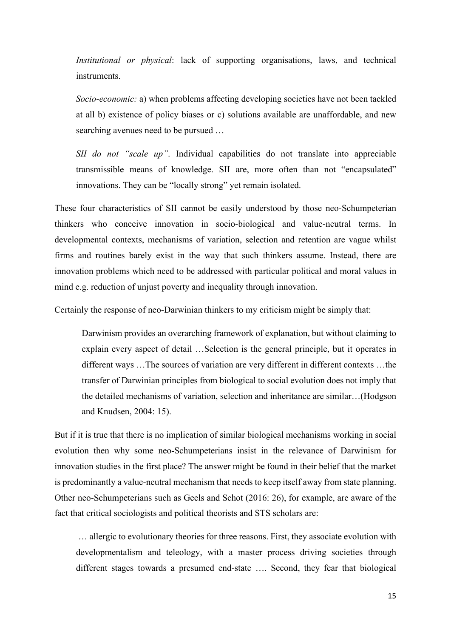*Institutional or physical*: lack of supporting organisations, laws, and technical instruments.

*Socio*-*economic:* a) when problems affecting developing societies have not been tackled at all b) existence of policy biases or c) solutions available are unaffordable, and new searching avenues need to be pursued …

*SII do not "scale up"*. Individual capabilities do not translate into appreciable transmissible means of knowledge. SII are, more often than not "encapsulated" innovations. They can be "locally strong" yet remain isolated.

These four characteristics of SII cannot be easily understood by those neo-Schumpeterian thinkers who conceive innovation in socio-biological and value-neutral terms. In developmental contexts, mechanisms of variation, selection and retention are vague whilst firms and routines barely exist in the way that such thinkers assume. Instead, there are innovation problems which need to be addressed with particular political and moral values in mind e.g. reduction of unjust poverty and inequality through innovation.

Certainly the response of neo-Darwinian thinkers to my criticism might be simply that:

Darwinism provides an overarching framework of explanation, but without claiming to explain every aspect of detail …Selection is the general principle, but it operates in different ways …The sources of variation are very different in different contexts …the transfer of Darwinian principles from biological to social evolution does not imply that the detailed mechanisms of variation, selection and inheritance are similar…(Hodgson and Knudsen, 2004: 15).

But if it is true that there is no implication of similar biological mechanisms working in social evolution then why some neo-Schumpeterians insist in the relevance of Darwinism for innovation studies in the first place? The answer might be found in their belief that the market is predominantly a value-neutral mechanism that needs to keep itself away from state planning. Other neo-Schumpeterians such as Geels and Schot (2016: 26), for example, are aware of the fact that critical sociologists and political theorists and STS scholars are:

… allergic to evolutionary theories for three reasons. First, they associate evolution with developmentalism and teleology, with a master process driving societies through different stages towards a presumed end-state …. Second, they fear that biological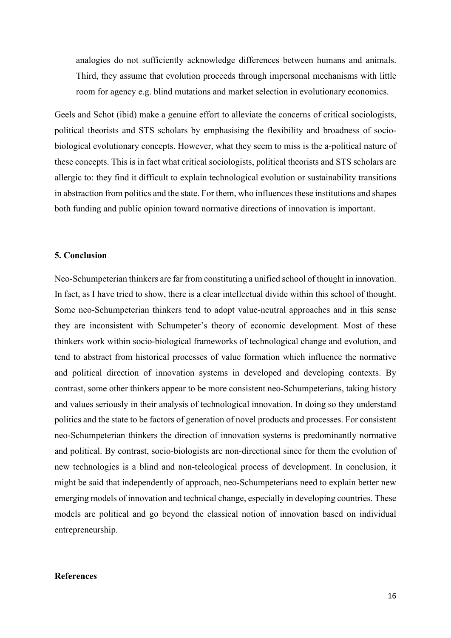analogies do not sufficiently acknowledge differences between humans and animals. Third, they assume that evolution proceeds through impersonal mechanisms with little room for agency e.g. blind mutations and market selection in evolutionary economics.

Geels and Schot (ibid) make a genuine effort to alleviate the concerns of critical sociologists, political theorists and STS scholars by emphasising the flexibility and broadness of sociobiological evolutionary concepts. However, what they seem to miss is the a-political nature of these concepts. This is in fact what critical sociologists, political theorists and STS scholars are allergic to: they find it difficult to explain technological evolution or sustainability transitions in abstraction from politics and the state. For them, who influences these institutions and shapes both funding and public opinion toward normative directions of innovation is important.

#### **5. Conclusion**

Neo-Schumpeterian thinkers are far from constituting a unified school of thought in innovation. In fact, as I have tried to show, there is a clear intellectual divide within this school of thought. Some neo-Schumpeterian thinkers tend to adopt value-neutral approaches and in this sense they are inconsistent with Schumpeter's theory of economic development. Most of these thinkers work within socio-biological frameworks of technological change and evolution, and tend to abstract from historical processes of value formation which influence the normative and political direction of innovation systems in developed and developing contexts. By contrast, some other thinkers appear to be more consistent neo-Schumpeterians, taking history and values seriously in their analysis of technological innovation. In doing so they understand politics and the state to be factors of generation of novel products and processes. For consistent neo-Schumpeterian thinkers the direction of innovation systems is predominantly normative and political. By contrast, socio-biologists are non-directional since for them the evolution of new technologies is a blind and non-teleological process of development. In conclusion, it might be said that independently of approach, neo-Schumpeterians need to explain better new emerging models of innovation and technical change, especially in developing countries. These models are political and go beyond the classical notion of innovation based on individual entrepreneurship.

#### **References**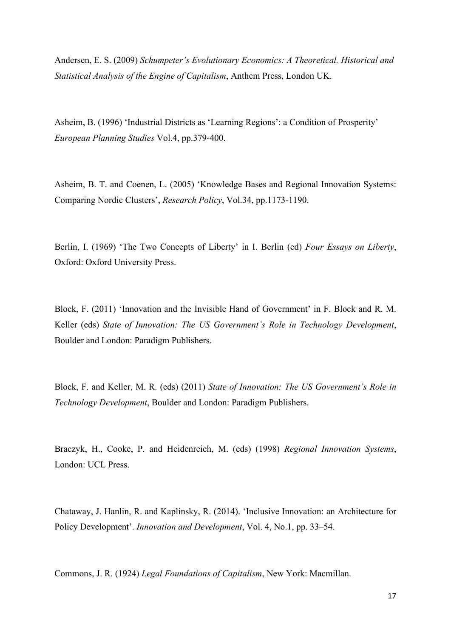Andersen, E. S. (2009) *Schumpeter's Evolutionary Economics: A Theoretical. Historical and Statistical Analysis of the Engine of Capitalism*, Anthem Press, London UK.

Asheim, B. (1996) 'Industrial Districts as 'Learning Regions': a Condition of Prosperity' *European Planning Studies* Vol.4, pp.379-400.

Asheim, B. T. and Coenen, L. (2005) 'Knowledge Bases and Regional Innovation Systems: Comparing Nordic Clusters', *Research Policy*, Vol.34, pp.1173-1190.

Berlin, I. (1969) 'The Two Concepts of Liberty' in I. Berlin (ed) *Four Essays on Liberty*, Oxford: Oxford University Press.

Block, F. (2011) 'Innovation and the Invisible Hand of Government' in F. Block and R. M. Keller (eds) *State of Innovation: The US Government's Role in Technology Development*, Boulder and London: Paradigm Publishers.

Block, F. and Keller, M. R. (eds) (2011) *State of Innovation: The US Government's Role in Technology Development*, Boulder and London: Paradigm Publishers.

Braczyk, H., Cooke, P. and Heidenreich, M. (eds) (1998) *Regional Innovation Systems*, London: UCL Press.

[Chataway, J.](http://oro.open.ac.uk/view/person/jcc2.html) [Hanlin, R.](http://oro.open.ac.uk/view/person/reh275.html) and [Kaplinsky, R.](http://oro.open.ac.uk/view/person/rmk54.html) (2014). ['Inclusive Innovation: an Architecture for](http://oro.open.ac.uk/39712/)  [Policy Development'.](http://oro.open.ac.uk/39712/) *Innovation and Development*, Vol. 4, No.1, pp. 33–54.

Commons, J. R. (1924) *Legal Foundations of Capitalism*, New York: Macmillan.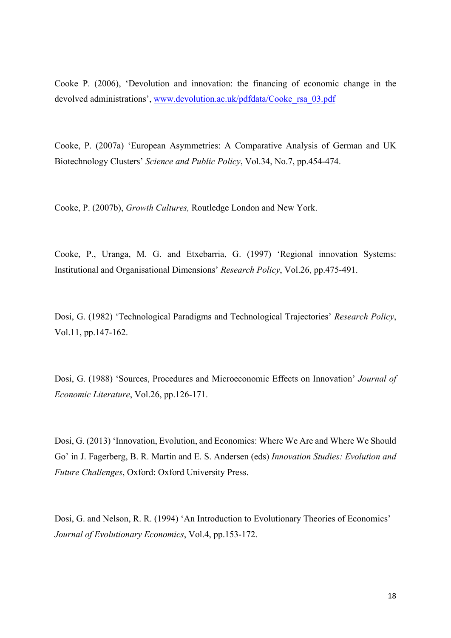Cooke P. (2006), 'Devolution and innovation: the financing of economic change in the devolved administrations', www.devolution.ac.uk/pdfdata/Cooke\_rsa\_03.pdf

Cooke, P. (2007a) 'European Asymmetries: A Comparative Analysis of German and UK Biotechnology Clusters' *Science and Public Policy*, Vol.34, No.7, pp.454-474.

Cooke, P. (2007b), *Growth Cultures,* Routledge London and New York.

Cooke, P., Uranga, M. G. and Etxebarria, G. (1997) 'Regional innovation Systems: Institutional and Organisational Dimensions' *Research Policy*, Vol.26, pp.475-491.

Dosi, G. (1982) 'Technological Paradigms and Technological Trajectories' *Research Policy*, Vol.11, pp.147-162.

Dosi, G. (1988) 'Sources, Procedures and Microeconomic Effects on Innovation' *Journal of Economic Literature*, Vol.26, pp.126-171.

Dosi, G. (2013) 'Innovation, Evolution, and Economics: Where We Are and Where We Should Go' in J. Fagerberg, B. R. Martin and E. S. Andersen (eds) *Innovation Studies: Evolution and Future Challenges*, Oxford: Oxford University Press.

Dosi, G. and Nelson, R. R. (1994) 'An Introduction to Evolutionary Theories of Economics' *Journal of Evolutionary Economics*, Vol.4, pp.153-172.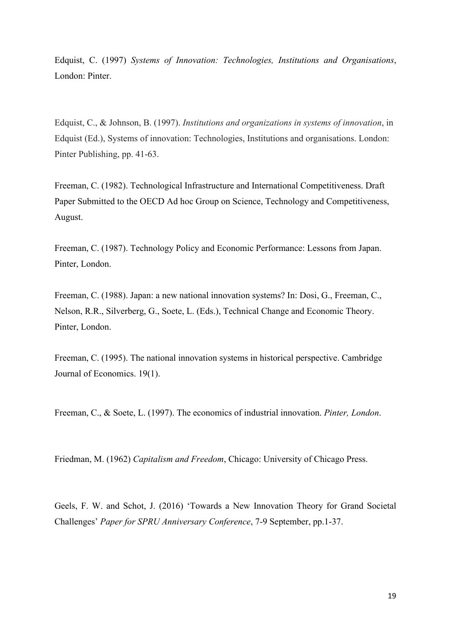Edquist, C. (1997) *Systems of Innovation: Technologies, Institutions and Organisations*, London: Pinter.

Edquist, C., & Johnson, B. (1997). *Institutions and organizations in systems of innovation*, in Edquist (Ed.), Systems of innovation: Technologies, Institutions and organisations. London: Pinter Publishing, pp. 41-63.

Freeman, C. (1982). Technological Infrastructure and International Competitiveness. Draft Paper Submitted to the OECD Ad hoc Group on Science, Technology and Competitiveness, August.

Freeman, C. (1987). Technology Policy and Economic Performance: Lessons from Japan. Pinter, London.

Freeman, C. (1988). Japan: a new national innovation systems? In: Dosi, G., Freeman, C., Nelson, R.R., Silverberg, G., Soete, L. (Eds.), Technical Change and Economic Theory. Pinter, London.

Freeman, C. (1995). The national innovation systems in historical perspective. Cambridge Journal of Economics. 19(1).

Freeman, C., & Soete, L. (1997). The economics of industrial innovation. *Pinter, London*.

Friedman, M. (1962) *Capitalism and Freedom*, Chicago: University of Chicago Press.

Geels, F. W. and Schot, J. (2016) 'Towards a New Innovation Theory for Grand Societal Challenges' *Paper for SPRU Anniversary Conference*, 7-9 September, pp.1-37.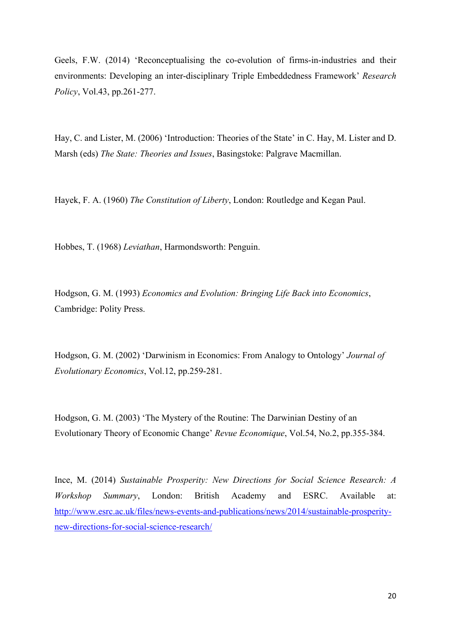Geels, F.W. (2014) 'Reconceptualising the co-evolution of firms-in-industries and their environments: Developing an inter-disciplinary Triple Embeddedness Framework' *Research Policy*, Vol.43, pp.261-277.

Hay, C. and Lister, M. (2006) 'Introduction: Theories of the State' in C. Hay, M. Lister and D. Marsh (eds) *The State: Theories and Issues*, Basingstoke: Palgrave Macmillan.

Hayek, F. A. (1960) *The Constitution of Liberty*, London: Routledge and Kegan Paul.

Hobbes, T. (1968) *Leviathan*, Harmondsworth: Penguin.

Hodgson, G. M. (1993) *Economics and Evolution: Bringing Life Back into Economics*, Cambridge: Polity Press.

Hodgson, G. M. (2002) 'Darwinism in Economics: From Analogy to Ontology' *Journal of Evolutionary Economics*, Vol.12, pp.259-281.

Hodgson, G. M. (2003) 'The Mystery of the Routine: The Darwinian Destiny of an Evolutionary Theory of Economic Change' *Revue Economique*, Vol.54, No.2, pp.355-384.

Ince, M. (2014) *Sustainable Prosperity: New Directions for Social Science Research: A Workshop Summary*, London: British Academy and ESRC. Available at: [http://www.esrc.ac.uk/files/news-events-and-publications/news/2014/sustainable-prosperity](http://www.esrc.ac.uk/files/news-events-and-publications/news/2014/sustainable-prosperity-new-directions-for-social-science-research/)[new-directions-for-social-science-research/](http://www.esrc.ac.uk/files/news-events-and-publications/news/2014/sustainable-prosperity-new-directions-for-social-science-research/)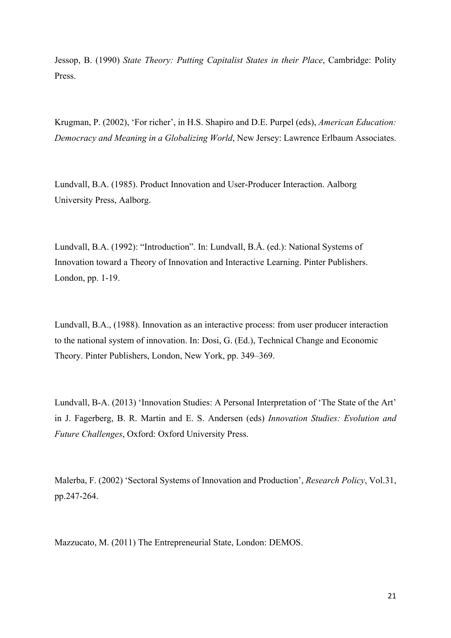Jessop, B. (1990) *State Theory: Putting Capitalist States in their Place*, Cambridge: Polity Press.

Krugman, P. (2002), 'For richer', in H.S. Shapiro and D.E. Purpel (eds), *American Education: Democracy and Meaning in a Globalizing World*, New Jersey: Lawrence Erlbaum Associates.

Lundvall, B.A. (1985). Product Innovation and User-Producer Interaction. Aalborg University Press, Aalborg.

Lundvall, B.A. (1992): "Introduction". In: Lundvall, B.Å. (ed.): National Systems of Innovation toward a Theory of Innovation and Interactive Learning. Pinter Publishers. London, pp. 1-19.

Lundvall, B.A., (1988). Innovation as an interactive process: from user producer interaction to the national system of innovation. In: Dosi, G. (Ed.), Technical Change and Economic Theory. Pinter Publishers, London, New York, pp. 349–369.

Lundvall, B-A. (2013) 'Innovation Studies: A Personal Interpretation of 'The State of the Art' in J. Fagerberg, B. R. Martin and E. S. Andersen (eds) *Innovation Studies: Evolution and Future Challenges*, Oxford: Oxford University Press.

Malerba, F. (2002) 'Sectoral Systems of Innovation and Production', *Research Policy*, Vol.31, pp.247-264.

Mazzucato, M. (2011) The Entrepreneurial State, London: DEMOS.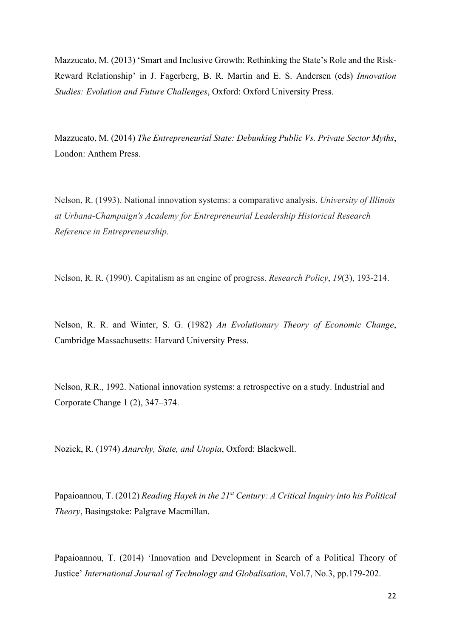Mazzucato, M. (2013) 'Smart and Inclusive Growth: Rethinking the State's Role and the Risk-Reward Relationship' in J. Fagerberg, B. R. Martin and E. S. Andersen (eds) *Innovation Studies: Evolution and Future Challenges*, Oxford: Oxford University Press.

Mazzucato, M. (2014) *The Entrepreneurial State: Debunking Public Vs. Private Sector Myths*, London: Anthem Press.

Nelson, R. (1993). National innovation systems: a comparative analysis. *University of Illinois at Urbana-Champaign's Academy for Entrepreneurial Leadership Historical Research Reference in Entrepreneurship*.

Nelson, R. R. (1990). Capitalism as an engine of progress. *Research Policy*, *19*(3), 193-214.

Nelson, R. R. and Winter, S. G. (1982) *An Evolutionary Theory of Economic Change*, Cambridge Massachusetts: Harvard University Press.

Nelson, R.R., 1992. National innovation systems: a retrospective on a study. Industrial and Corporate Change 1 (2), 347–374.

Nozick, R. (1974) *Anarchy, State, and Utopia*, Oxford: Blackwell.

Papaioannou, T. (2012) *Reading Hayek in the 21st Century: A Critical Inquiry into his Political Theory*, Basingstoke: Palgrave Macmillan.

Papaioannou, T. (2014) 'Innovation and Development in Search of a Political Theory of Justice' *International Journal of Technology and Globalisation*, Vol.7, No.3, pp.179-202.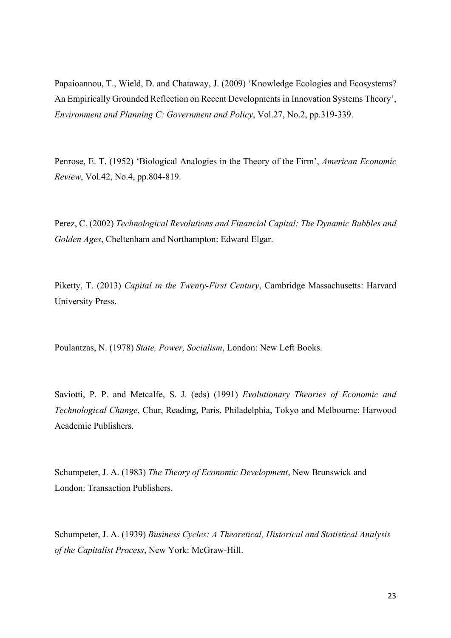Papaioannou, T., Wield, D. and Chataway, J. (2009) 'Knowledge Ecologies and Ecosystems? An Empirically Grounded Reflection on Recent Developments in Innovation Systems Theory', *Environment and Planning C: Government and Policy*, Vol.27, No.2, pp.319-339.

Penrose, E. T. (1952) 'Biological Analogies in the Theory of the Firm', *American Economic Review*, Vol.42, No.4, pp.804-819.

Perez, C. (2002) *Technological Revolutions and Financial Capital: The Dynamic Bubbles and Golden Ages*, Cheltenham and Northampton: Edward Elgar.

Piketty, T. (2013) *Capital in the Twenty-First Century*, Cambridge Massachusetts: Harvard University Press.

Poulantzas, N. (1978) *State, Power, Socialism*, London: New Left Books.

Saviotti, P. P. and Metcalfe, S. J. (eds) (1991) *Evolutionary Theories of Economic and Technological Change*, Chur, Reading, Paris, Philadelphia, Tokyo and Melbourne: Harwood Academic Publishers.

Schumpeter, J. A. (1983) *The Theory of Economic Development*, New Brunswick and London: Transaction Publishers.

Schumpeter, J. A. (1939) *Business Cycles: A Theoretical, Historical and Statistical Analysis of the Capitalist Process*, New York: McGraw-Hill.